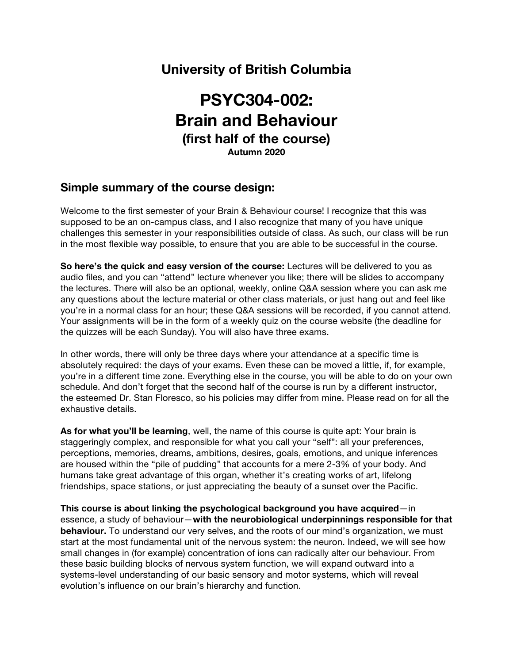## **University of British Columbia**

# **PSYC304-002: Brain and Behaviour (first half of the course) Autumn 2020**

## **Simple summary of the course design:**

Welcome to the first semester of your Brain & Behaviour course! I recognize that this was supposed to be an on-campus class, and I also recognize that many of you have unique challenges this semester in your responsibilities outside of class. As such, our class will be run in the most flexible way possible, to ensure that you are able to be successful in the course.

**So here's the quick and easy version of the course:** Lectures will be delivered to you as audio files, and you can "attend" lecture whenever you like; there will be slides to accompany the lectures. There will also be an optional, weekly, online Q&A session where you can ask me any questions about the lecture material or other class materials, or just hang out and feel like you're in a normal class for an hour; these Q&A sessions will be recorded, if you cannot attend. Your assignments will be in the form of a weekly quiz on the course website (the deadline for the quizzes will be each Sunday). You will also have three exams.

In other words, there will only be three days where your attendance at a specific time is absolutely required: the days of your exams. Even these can be moved a little, if, for example, you're in a different time zone. Everything else in the course, you will be able to do on your own schedule. And don't forget that the second half of the course is run by a different instructor, the esteemed Dr. Stan Floresco, so his policies may differ from mine. Please read on for all the exhaustive details.

**As for what you'll be learning**, well, the name of this course is quite apt: Your brain is staggeringly complex, and responsible for what you call your "self": all your preferences, perceptions, memories, dreams, ambitions, desires, goals, emotions, and unique inferences are housed within the "pile of pudding" that accounts for a mere 2-3% of your body. And humans take great advantage of this organ, whether it's creating works of art, lifelong friendships, space stations, or just appreciating the beauty of a sunset over the Pacific.

**This course is about linking the psychological background you have acquired**—in essence, a study of behaviour—**with the neurobiological underpinnings responsible for that behaviour.** To understand our very selves, and the roots of our mind's organization, we must start at the most fundamental unit of the nervous system: the neuron. Indeed, we will see how small changes in (for example) concentration of ions can radically alter our behaviour. From these basic building blocks of nervous system function, we will expand outward into a systems-level understanding of our basic sensory and motor systems, which will reveal evolution's influence on our brain's hierarchy and function.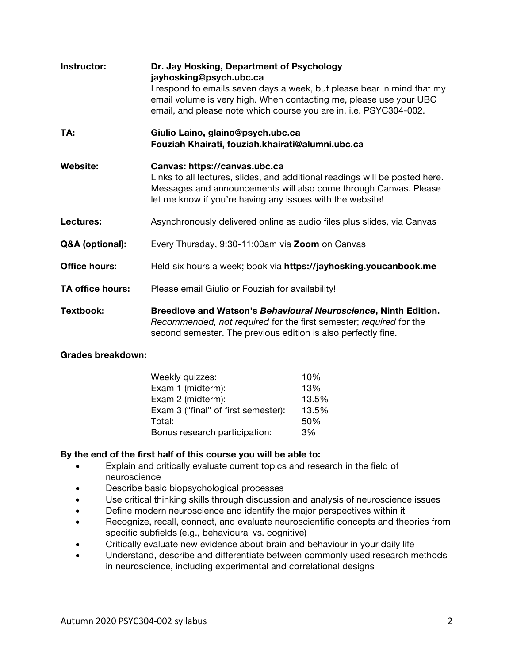| Instructor:             | Dr. Jay Hosking, Department of Psychology<br>jayhosking@psych.ubc.ca<br>I respond to emails seven days a week, but please bear in mind that my<br>email volume is very high. When contacting me, please use your UBC<br>email, and please note which course you are in, i.e. PSYC304-002. |
|-------------------------|-------------------------------------------------------------------------------------------------------------------------------------------------------------------------------------------------------------------------------------------------------------------------------------------|
| TA:                     | Giulio Laino, glaino@psych.ubc.ca<br>Fouziah Khairati, fouziah.khairati@alumni.ubc.ca                                                                                                                                                                                                     |
| <b>Website:</b>         | Canvas: https://canvas.ubc.ca<br>Links to all lectures, slides, and additional readings will be posted here.<br>Messages and announcements will also come through Canvas. Please<br>let me know if you're having any issues with the website!                                             |
| Lectures:               | Asynchronously delivered online as audio files plus slides, via Canvas                                                                                                                                                                                                                    |
| Q&A (optional):         | Every Thursday, 9:30-11:00am via Zoom on Canvas                                                                                                                                                                                                                                           |
| <b>Office hours:</b>    | Held six hours a week; book via https://jayhosking.youcanbook.me                                                                                                                                                                                                                          |
| <b>TA office hours:</b> | Please email Giulio or Fouziah for availability!                                                                                                                                                                                                                                          |
| Textbook:               | Breedlove and Watson's Behavioural Neuroscience, Ninth Edition.<br>Recommended, not required for the first semester; required for the<br>second semester. The previous edition is also perfectly fine.                                                                                    |

### **Grades breakdown:**

| Weekly quizzes:                     | 10%   |
|-------------------------------------|-------|
| Exam 1 (midterm):                   | 13%   |
| Exam 2 (midterm):                   | 13.5% |
| Exam 3 ("final" of first semester): | 13.5% |
| Total:                              | 50%   |
| Bonus research participation:       | 3%    |

### **By the end of the first half of this course you will be able to:**

- Explain and critically evaluate current topics and research in the field of neuroscience
- Describe basic biopsychological processes
- Use critical thinking skills through discussion and analysis of neuroscience issues
- Define modern neuroscience and identify the major perspectives within it
- Recognize, recall, connect, and evaluate neuroscientific concepts and theories from specific subfields (e.g., behavioural vs. cognitive)
- Critically evaluate new evidence about brain and behaviour in your daily life
- Understand, describe and differentiate between commonly used research methods in neuroscience, including experimental and correlational designs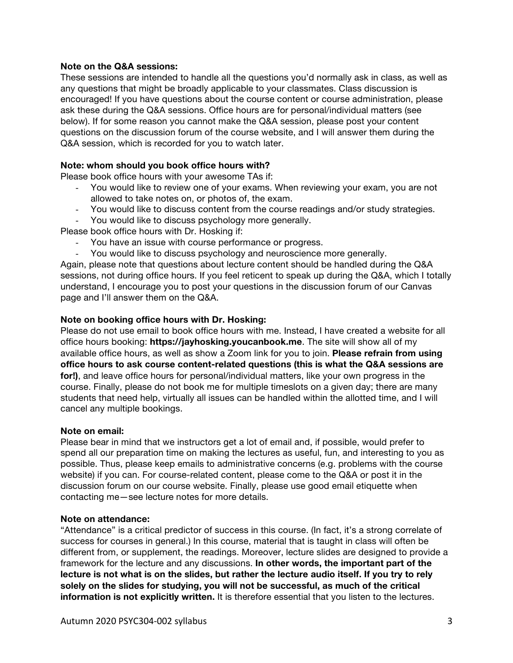### **Note on the Q&A sessions:**

These sessions are intended to handle all the questions you'd normally ask in class, as well as any questions that might be broadly applicable to your classmates. Class discussion is encouraged! If you have questions about the course content or course administration, please ask these during the Q&A sessions. Office hours are for personal/individual matters (see below). If for some reason you cannot make the Q&A session, please post your content questions on the discussion forum of the course website, and I will answer them during the Q&A session, which is recorded for you to watch later.

### **Note: whom should you book office hours with?**

Please book office hours with your awesome TAs if:

- You would like to review one of your exams. When reviewing your exam, you are not allowed to take notes on, or photos of, the exam.
- You would like to discuss content from the course readings and/or study strategies. - You would like to discuss psychology more generally.

Please book office hours with Dr. Hosking if:

- You have an issue with course performance or progress.
- You would like to discuss psychology and neuroscience more generally.

Again, please note that questions about lecture content should be handled during the Q&A sessions, not during office hours. If you feel reticent to speak up during the Q&A, which I totally understand, I encourage you to post your questions in the discussion forum of our Canvas page and I'll answer them on the Q&A.

### **Note on booking office hours with Dr. Hosking:**

Please do not use email to book office hours with me. Instead, I have created a website for all office hours booking: **https://jayhosking.youcanbook.me**. The site will show all of my available office hours, as well as show a Zoom link for you to join. **Please refrain from using office hours to ask course content-related questions (this is what the Q&A sessions are for!)**, and leave office hours for personal/individual matters, like your own progress in the course. Finally, please do not book me for multiple timeslots on a given day; there are many students that need help, virtually all issues can be handled within the allotted time, and I will cancel any multiple bookings.

### **Note on email:**

Please bear in mind that we instructors get a lot of email and, if possible, would prefer to spend all our preparation time on making the lectures as useful, fun, and interesting to you as possible. Thus, please keep emails to administrative concerns (e.g. problems with the course website) if you can. For course-related content, please come to the Q&A or post it in the discussion forum on our course website. Finally, please use good email etiquette when contacting me—see lecture notes for more details.

### **Note on attendance:**

"Attendance" is a critical predictor of success in this course. (In fact, it's a strong correlate of success for courses in general.) In this course, material that is taught in class will often be different from, or supplement, the readings. Moreover, lecture slides are designed to provide a framework for the lecture and any discussions. **In other words, the important part of the lecture is not what is on the slides, but rather the lecture audio itself. If you try to rely solely on the slides for studying, you will not be successful, as much of the critical information is not explicitly written.** It is therefore essential that you listen to the lectures.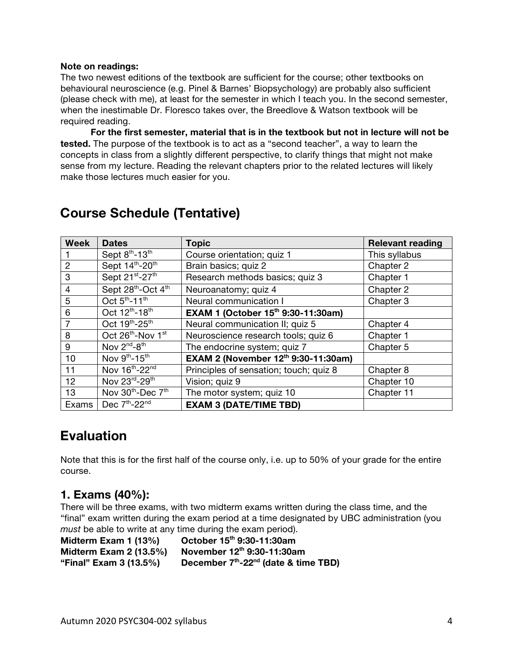### **Note on readings:**

The two newest editions of the textbook are sufficient for the course; other textbooks on behavioural neuroscience (e.g. Pinel & Barnes' Biopsychology) are probably also sufficient (please check with me), at least for the semester in which I teach you. In the second semester, when the inestimable Dr. Floresco takes over, the Breedlove & Watson textbook will be required reading.

**For the first semester, material that is in the textbook but not in lecture will not be tested.** The purpose of the textbook is to act as a "second teacher", a way to learn the concepts in class from a slightly different perspective, to clarify things that might not make sense from my lecture. Reading the relevant chapters prior to the related lectures will likely make those lectures much easier for you.

| <b>Week</b>    | <b>Dates</b>                              | <b>Topic</b>                           | <b>Relevant reading</b> |
|----------------|-------------------------------------------|----------------------------------------|-------------------------|
|                | Sept 8th-13th                             | Course orientation; quiz 1             | This syllabus           |
| $\overline{2}$ | Sept 14th-20th                            | Brain basics; quiz 2                   | Chapter 2               |
| 3              | Sept 21st-27th                            | Research methods basics; quiz 3        | Chapter 1               |
| 4              | Sept 28th-Oct 4th                         | Neuroanatomy; quiz 4                   | Chapter 2               |
| 5              | Oct $5^{\text{th}}$ -11 <sup>th</sup>     | Neural communication I                 | Chapter 3               |
| 6              | Oct 12 <sup>th</sup> -18 <sup>th</sup>    | EXAM 1 (October 15th 9:30-11:30am)     |                         |
| 7              | Oct 19th-25th                             | Neural communication II; quiz 5        | Chapter 4               |
| 8              | Oct 26th-Nov 1st                          | Neuroscience research tools; quiz 6    | Chapter 1               |
| 9              | Nov $2^{nd} - 8^{th}$                     | The endocrine system; quiz 7           | Chapter 5               |
| 10             | Nov 9th-15th                              | EXAM 2 (November 12th 9:30-11:30am)    |                         |
| 11             | Nov 16th-22nd                             | Principles of sensation; touch; quiz 8 | Chapter 8               |
| 12             | Nov 23rd-29th                             | Vision; quiz 9                         | Chapter 10              |
| 13             | Nov 30 <sup>th</sup> -Dec 7 <sup>th</sup> | The motor system; quiz 10              | Chapter 11              |
| Exams          | Dec 7th-22nd                              | <b>EXAM 3 (DATE/TIME TBD)</b>          |                         |

## **Course Schedule (Tentative)**

## **Evaluation**

Note that this is for the first half of the course only, i.e. up to 50% of your grade for the entire course.

## **1. Exams (40%):**

There will be three exams, with two midterm exams written during the class time, and the "final" exam written during the exam period at a time designated by UBC administration (you *must* be able to write at any time during the exam period).

**Midterm Exam 1 (13%) October 15th 9:30-11:30am Midterm Exam 2 (13.5%) November 12th 9:30-11:30am "Final" Exam 3 (13.5%) December 7th-22nd (date & time TBD)**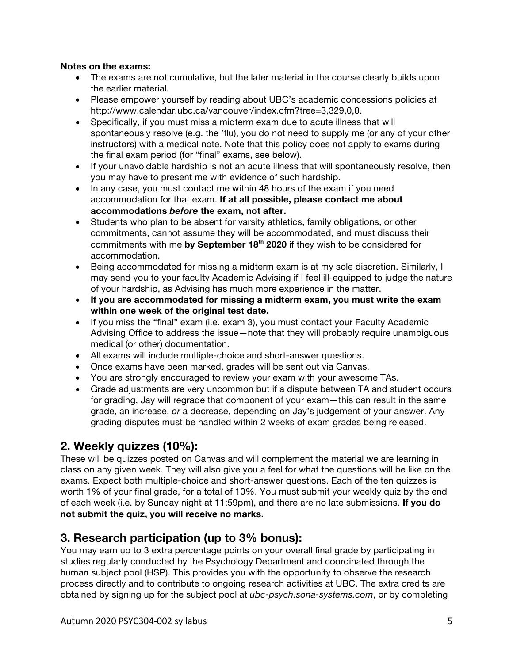### **Notes on the exams:**

- The exams are not cumulative, but the later material in the course clearly builds upon the earlier material.
- Please empower yourself by reading about UBC's academic concessions policies at http://www.calendar.ubc.ca/vancouver/index.cfm?tree=3,329,0,0.
- Specifically, if you must miss a midterm exam due to acute illness that will spontaneously resolve (e.g. the 'flu), you do not need to supply me (or any of your other instructors) with a medical note. Note that this policy does not apply to exams during the final exam period (for "final" exams, see below).
- If your unavoidable hardship is not an acute illness that will spontaneously resolve, then you may have to present me with evidence of such hardship.
- In any case, you must contact me within 48 hours of the exam if you need accommodation for that exam. **If at all possible, please contact me about accommodations** *before* **the exam, not after.**
- Students who plan to be absent for varsity athletics, family obligations, or other commitments, cannot assume they will be accommodated, and must discuss their commitments with me by September 18<sup>th</sup> 2020 if they wish to be considered for accommodation.
- Being accommodated for missing a midterm exam is at my sole discretion. Similarly, I may send you to your faculty Academic Advising if I feel ill-equipped to judge the nature of your hardship, as Advising has much more experience in the matter.
- **If you are accommodated for missing a midterm exam, you must write the exam within one week of the original test date.**
- If you miss the "final" exam (i.e. exam 3), you must contact your Faculty Academic Advising Office to address the issue—note that they will probably require unambiguous medical (or other) documentation.
- All exams will include multiple-choice and short-answer questions.
- Once exams have been marked, grades will be sent out via Canvas.
- You are strongly encouraged to review your exam with your awesome TAs.
- Grade adjustments are very uncommon but if a dispute between TA and student occurs for grading, Jay will regrade that component of your exam—this can result in the same grade, an increase, *or* a decrease, depending on Jay's judgement of your answer. Any grading disputes must be handled within 2 weeks of exam grades being released.

## **2. Weekly quizzes (10%):**

These will be quizzes posted on Canvas and will complement the material we are learning in class on any given week. They will also give you a feel for what the questions will be like on the exams. Expect both multiple-choice and short-answer questions. Each of the ten quizzes is worth 1% of your final grade, for a total of 10%. You must submit your weekly quiz by the end of each week (i.e. by Sunday night at 11:59pm), and there are no late submissions. **If you do not submit the quiz, you will receive no marks.**

## **3. Research participation (up to 3% bonus):**

You may earn up to 3 extra percentage points on your overall final grade by participating in studies regularly conducted by the Psychology Department and coordinated through the human subject pool (HSP). This provides you with the opportunity to observe the research process directly and to contribute to ongoing research activities at UBC. The extra credits are obtained by signing up for the subject pool at *ubc-psych.sona-systems.com*, or by completing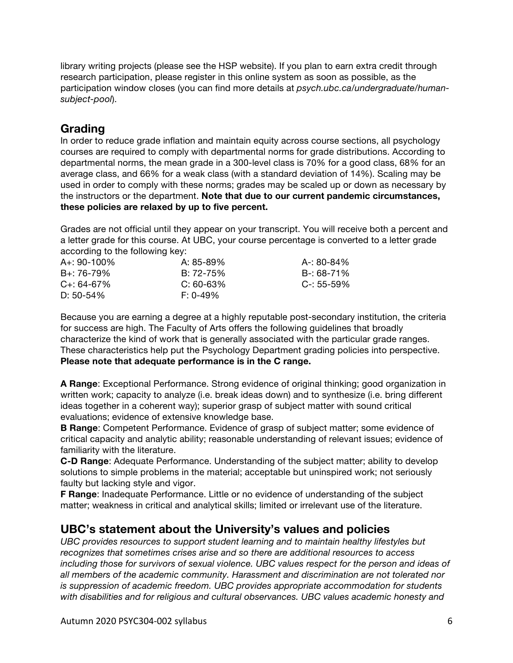library writing projects (please see the HSP website). If you plan to earn extra credit through research participation, please register in this online system as soon as possible, as the participation window closes (you can find more details at *psych.ubc.ca/undergraduate/humansubject-pool*).

## **Grading**

In order to reduce grade inflation and maintain equity across course sections, all psychology courses are required to comply with departmental norms for grade distributions. According to departmental norms, the mean grade in a 300-level class is 70% for a good class, 68% for an average class, and 66% for a weak class (with a standard deviation of 14%). Scaling may be used in order to comply with these norms; grades may be scaled up or down as necessary by the instructors or the department. **Note that due to our current pandemic circumstances, these policies are relaxed by up to five percent.**

Grades are not official until they appear on your transcript. You will receive both a percent and a letter grade for this course. At UBC, your course percentage is converted to a letter grade according to the following key:

| $A + 90 - 100\%$ | A: 85-89%      | A-: 80-84%      |
|------------------|----------------|-----------------|
| $B + 76 - 79\%$  | $B: 72 - 75\%$ | B-: 68-71%      |
| $C_{+}$ : 64-67% | $C: 60-63%$    | $C - 55 - 59\%$ |
| $D: 50-54\%$     | $F: 0-49\%$    |                 |

Because you are earning a degree at a highly reputable post-secondary institution, the criteria for success are high. The Faculty of Arts offers the following guidelines that broadly characterize the kind of work that is generally associated with the particular grade ranges. These characteristics help put the Psychology Department grading policies into perspective. **Please note that adequate performance is in the C range.**

**A Range**: Exceptional Performance. Strong evidence of original thinking; good organization in written work; capacity to analyze (i.e. break ideas down) and to synthesize (i.e. bring different ideas together in a coherent way); superior grasp of subject matter with sound critical evaluations; evidence of extensive knowledge base.

**B Range**: Competent Performance. Evidence of grasp of subject matter; some evidence of critical capacity and analytic ability; reasonable understanding of relevant issues; evidence of familiarity with the literature.

**C-D Range**: Adequate Performance. Understanding of the subject matter; ability to develop solutions to simple problems in the material; acceptable but uninspired work; not seriously faulty but lacking style and vigor.

**F Range**: Inadequate Performance. Little or no evidence of understanding of the subject matter; weakness in critical and analytical skills; limited or irrelevant use of the literature.

## **UBC's statement about the University's values and policies**

*UBC provides resources to support student learning and to maintain healthy lifestyles but recognizes that sometimes crises arise and so there are additional resources to access including those for survivors of sexual violence. UBC values respect for the person and ideas of all members of the academic community. Harassment and discrimination are not tolerated nor is suppression of academic freedom. UBC provides appropriate accommodation for students with disabilities and for religious and cultural observances. UBC values academic honesty and*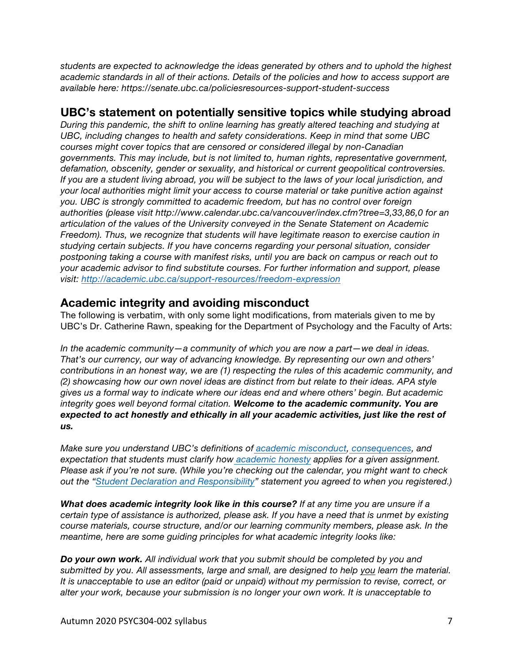*students are expected to acknowledge the ideas generated by others and to uphold the highest academic standards in all of their actions. Details of the policies and how to access support are available here: https://senate.ubc.ca/policiesresources-support-student-success*

## **UBC's statement on potentially sensitive topics while studying abroad**

*During this pandemic, the shift to online learning has greatly altered teaching and studying at UBC, including changes to health and safety considerations. Keep in mind that some UBC courses might cover topics that are censored or considered illegal by non-Canadian governments. This may include, but is not limited to, human rights, representative government, defamation, obscenity, gender or sexuality, and historical or current geopolitical controversies. If you are a student living abroad, you will be subject to the laws of your local jurisdiction, and your local authorities might limit your access to course material or take punitive action against you. UBC is strongly committed to academic freedom, but has no control over foreign authorities (please visit http://www.calendar.ubc.ca/vancouver/index.cfm?tree=3,33,86,0 for an articulation of the values of the University conveyed in the Senate Statement on Academic Freedom). Thus, we recognize that students will have legitimate reason to exercise caution in studying certain subjects. If you have concerns regarding your personal situation, consider postponing taking a course with manifest risks, until you are back on campus or reach out to your academic advisor to find substitute courses. For further information and support, please visit: http://academic.ubc.ca/support-resources/freedom-expression*

## **Academic integrity and avoiding misconduct**

The following is verbatim, with only some light modifications, from materials given to me by UBC's Dr. Catherine Rawn, speaking for the Department of Psychology and the Faculty of Arts:

*In the academic community—a community of which you are now a part—we deal in ideas. That's our currency, our way of advancing knowledge. By representing our own and others' contributions in an honest way, we are (1) respecting the rules of this academic community, and (2) showcasing how our own novel ideas are distinct from but relate to their ideas. APA style gives us a formal way to indicate where our ideas end and where others' begin. But academic integrity goes well beyond formal citation. Welcome to the academic community. You are expected to act honestly and ethically in all your academic activities, just like the rest of us.*

*Make sure you understand UBC's definitions of academic misconduct, consequences, and expectation that students must clarify how academic honesty applies for a given assignment. Please ask if you're not sure. (While you're checking out the calendar, you might want to check out the "Student Declaration and Responsibility" statement you agreed to when you registered.)*

*What does academic integrity look like in this course? If at any time you are unsure if a certain type of assistance is authorized, please ask. If you have a need that is unmet by existing course materials, course structure, and/or our learning community members, please ask. In the meantime, here are some guiding principles for what academic integrity looks like:*

*Do your own work. All individual work that you submit should be completed by you and submitted by you. All assessments, large and small, are designed to help you learn the material. It is unacceptable to use an editor (paid or unpaid) without my permission to revise, correct, or alter your work, because your submission is no longer your own work. It is unacceptable to*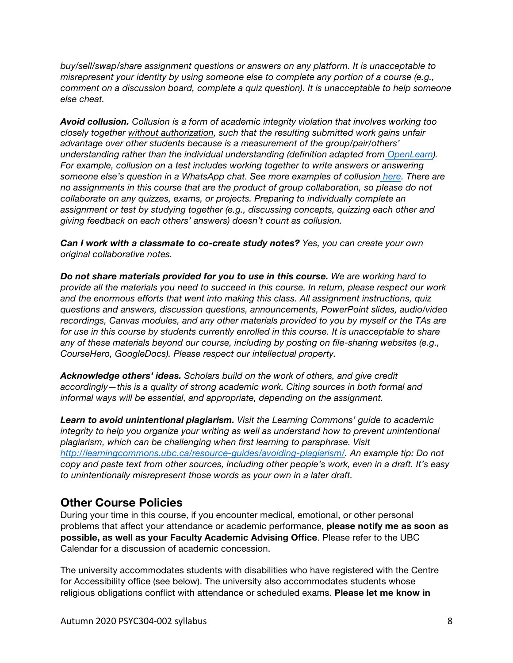*buy/sell/swap/share assignment questions or answers on any platform. It is unacceptable to misrepresent your identity by using someone else to complete any portion of a course (e.g., comment on a discussion board, complete a quiz question). It is unacceptable to help someone else cheat.*

*Avoid collusion. Collusion is a form of academic integrity violation that involves working too closely together without authorization, such that the resulting submitted work gains unfair advantage over other students because is a measurement of the group/pair/others' understanding rather than the individual understanding (definition adapted from OpenLearn). For example, collusion on a test includes working together to write answers or answering someone else's question in a WhatsApp chat. See more examples of collusion here. There are no assignments in this course that are the product of group collaboration, so please do not collaborate on any quizzes, exams, or projects. Preparing to individually complete an assignment or test by studying together (e.g., discussing concepts, quizzing each other and giving feedback on each others' answers) doesn't count as collusion.*

*Can I work with a classmate to co-create study notes? Yes, you can create your own original collaborative notes.*

*Do not share materials provided for you to use in this course. We are working hard to provide all the materials you need to succeed in this course. In return, please respect our work and the enormous efforts that went into making this class. All assignment instructions, quiz questions and answers, discussion questions, announcements, PowerPoint slides, audio/video recordings, Canvas modules, and any other materials provided to you by myself or the TAs are for use in this course by students currently enrolled in this course. It is unacceptable to share any of these materials beyond our course, including by posting on file-sharing websites (e.g., CourseHero, GoogleDocs). Please respect our intellectual property.*

*Acknowledge others' ideas. Scholars build on the work of others, and give credit accordingly—this is a quality of strong academic work. Citing sources in both formal and informal ways will be essential, and appropriate, depending on the assignment.*

*Learn to avoid unintentional plagiarism. Visit the Learning Commons' guide to academic integrity to help you organize your writing as well as understand how to prevent unintentional plagiarism, which can be challenging when first learning to paraphrase. Visit http://learningcommons.ubc.ca/resource-guides/avoiding-plagiarism/. An example tip: Do not copy and paste text from other sources, including other people's work, even in a draft. It's easy to unintentionally misrepresent those words as your own in a later draft.*

## **Other Course Policies**

During your time in this course, if you encounter medical, emotional, or other personal problems that affect your attendance or academic performance, **please notify me as soon as possible, as well as your Faculty Academic Advising Office**. Please refer to the UBC Calendar for a discussion of academic concession.

The university accommodates students with disabilities who have registered with the Centre for Accessibility office (see below). The university also accommodates students whose religious obligations conflict with attendance or scheduled exams. **Please let me know in**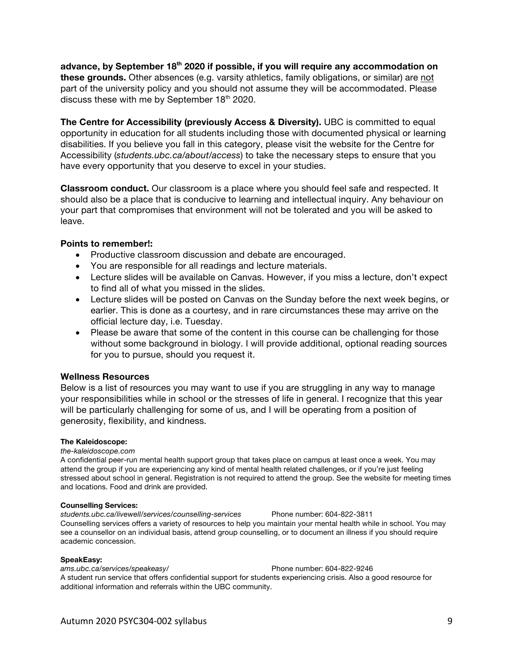**advance, by September 18th 2020 if possible, if you will require any accommodation on these grounds.** Other absences (e.g. varsity athletics, family obligations, or similar) are not part of the university policy and you should not assume they will be accommodated. Please discuss these with me by September  $18<sup>th</sup>$  2020.

**The Centre for Accessibility (previously Access & Diversity).** UBC is committed to equal opportunity in education for all students including those with documented physical or learning disabilities. If you believe you fall in this category, please visit the website for the Centre for Accessibility (*students.ubc.ca/about/access*) to take the necessary steps to ensure that you have every opportunity that you deserve to excel in your studies.

**Classroom conduct.** Our classroom is a place where you should feel safe and respected. It should also be a place that is conducive to learning and intellectual inquiry. Any behaviour on your part that compromises that environment will not be tolerated and you will be asked to leave.

### **Points to remember!:**

- Productive classroom discussion and debate are encouraged.
- You are responsible for all readings and lecture materials.
- Lecture slides will be available on Canvas. However, if you miss a lecture, don't expect to find all of what you missed in the slides.
- Lecture slides will be posted on Canvas on the Sunday before the next week begins, or earlier. This is done as a courtesy, and in rare circumstances these may arrive on the official lecture day, i.e. Tuesday.
- Please be aware that some of the content in this course can be challenging for those without some background in biology. I will provide additional, optional reading sources for you to pursue, should you request it.

### **Wellness Resources**

Below is a list of resources you may want to use if you are struggling in any way to manage your responsibilities while in school or the stresses of life in general. I recognize that this year will be particularly challenging for some of us, and I will be operating from a position of generosity, flexibility, and kindness.

### **The Kaleidoscope:**

### *the-kaleidoscope.com*

A confidential peer-run mental health support group that takes place on campus at least once a week. You may attend the group if you are experiencing any kind of mental health related challenges, or if you're just feeling stressed about school in general. Registration is not required to attend the group. See the website for meeting times and locations. Food and drink are provided.

### **Counselling Services:**

*students.ubc.ca/livewell/services/counselling-services* Phone number: 604-822-3811 Counselling services offers a variety of resources to help you maintain your mental health while in school. You may see a counsellor on an individual basis, attend group counselling, or to document an illness if you should require academic concession.

### **SpeakEasy:**

*ams.ubc.ca/services/speakeasy/* Phone number: 604-822-9246 A student run service that offers confidential support for students experiencing crisis. Also a good resource for additional information and referrals within the UBC community.